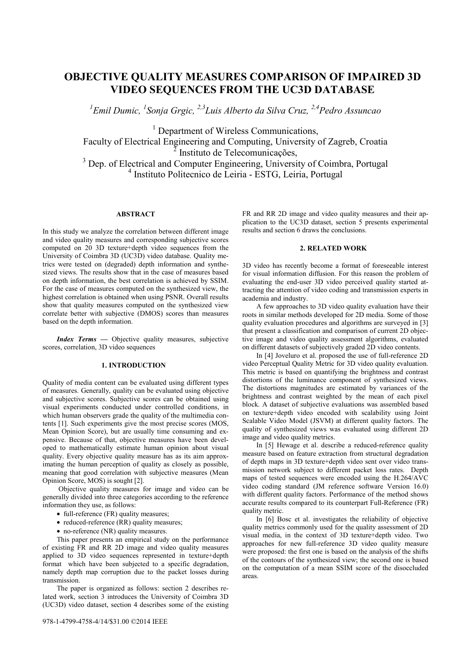# **OBJECTIVE QUALITY MEASURES COMPARISON OF IMPAIRED 3D VIDEO SEQUENCES FROM THE UC3D DATABASE**

<sup>1</sup> Emil Dumic, <sup>1</sup> Sonja Grgic, <sup>2,3</sup>Luis Alberto da Silva Cruz, <sup>2,4</sup> Pedro Assuncao

<sup>1</sup> Department of Wireless Communications, Faculty of Electrical Engineering and Computing, University of Zagreb, Croatia  $\overline{2}$  Instituto de Telecomunicações,

<sup>3</sup> Dep. of Electrical and Computer Engineering, University of Coimbra, Portugal 4 Instituto Politecnico de Leiria - ESTG, Leiria, Portugal

### **ABSTRACT**

In this study we analyze the correlation between different image and video quality measures and corresponding subjective scores computed on 20 3D texture+depth video sequences from the University of Coimbra 3D (UC3D) video database. Quality metrics were tested on (degraded) depth information and synthesized views. The results show that in the case of measures based on depth information, the best correlation is achieved by SSIM. For the case of measures computed on the synthesized view, the highest correlation is obtained when using PSNR. Overall results show that quality measures computed on the synthesized view correlate better with subjective (DMOS) scores than measures based on the depth information.

*Index Terms* — Objective quality measures, subjective scores, correlation, 3D video sequences

#### **1. INTRODUCTION**

Quality of media content can be evaluated using different types of measures. Generally, quality can be evaluated using objective and subjective scores. Subjective scores can be obtained using visual experiments conducted under controlled conditions, in which human observers grade the quality of the multimedia contents [1]. Such experiments give the most precise scores (MOS, Mean Opinion Score), but are usually time consuming and expensive. Because of that, objective measures have been developed to mathematically estimate human opinion about visual quality. Every objective quality measure has as its aim approximating the human perception of quality as closely as possible, meaning that good correlation with subjective measures (Mean Opinion Score, MOS) is sought [2].

 Objective quality measures for image and video can be generally divided into three categories according to the reference information they use, as follows:

- full-reference (FR) quality measures;
- reduced-reference (RR) quality measures;
- no-reference (NR) quality measures.

This paper presents an empirical study on the performance of existing FR and RR 2D image and video quality measures applied to 3D video sequences represented in texture+depth format which have been subjected to a specific degradation, namely depth map corruption due to the packet losses during transmission.

The paper is organized as follows: section 2 describes related work, section 3 introduces the University of Coimbra 3D (UC3D) video dataset, section 4 describes some of the existing FR and RR 2D image and video quality measures and their application to the UC3D dataset, section 5 presents experimental results and section 6 draws the conclusions.

## **2. RELATED WORK**

3D video has recently become a format of foreseeable interest for visual information diffusion. For this reason the problem of evaluating the end-user 3D video perceived quality started attracting the attention of video coding and transmission experts in academia and industry.

A few approaches to 3D video quality evaluation have their roots in similar methods developed for 2D media. Some of those quality evaluation procedures and algorithms are surveyed in [3] that present a classification and comparison of current 2D objective image and video quality assessment algorithms, evaluated on different datasets of subjectively graded 2D video contents.

In [4] Joveluro et al. proposed the use of full-reference 2D video Perceptual Quality Metric for 3D video quality evaluation. This metric is based on quantifying the brightness and contrast distortions of the luminance component of synthesized views. The distortions magnitudes are estimated by variances of the brightness and contrast weighted by the mean of each pixel block. A dataset of subjective evaluations was assembled based on texture+depth video encoded with scalability using Joint Scalable Video Model (JSVM) at different quality factors. The quality of synthesized views was evaluated using different 2D image and video quality metrics.

In [5] Hewage et al. describe a reduced-reference quality measure based on feature extraction from structural degradation of depth maps in 3D texture+depth video sent over video transmission network subject to different packet loss rates. Depth maps of tested sequences were encoded using the H.264/AVC video coding standard (JM reference software Version 16.0) with different quality factors. Performance of the method shows accurate results compared to its counterpart Full-Reference (FR) quality metric.

In [6] Bosc et al. investigates the reliability of objective quality metrics commonly used for the quality assessment of 2D visual media, in the context of 3D texture+depth video. Two approaches for new full-reference 3D video quality measure were proposed: the first one is based on the analysis of the shifts of the contours of the synthesized view; the second one is based on the computation of a mean SSIM score of the disoccluded areas.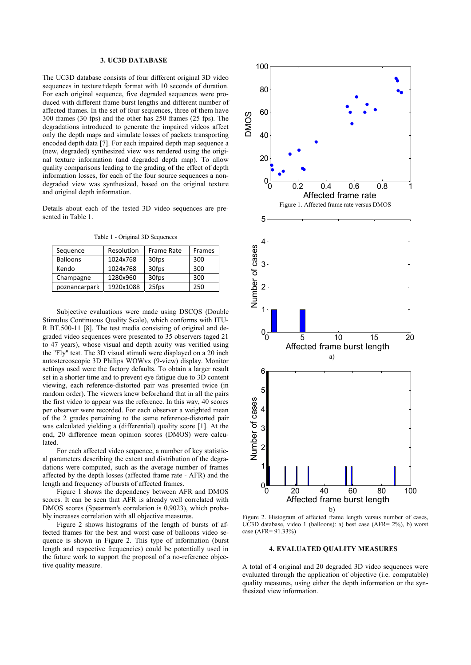## **3. UC3D DATABASE**

The UC3D database consists of four different original 3D video sequences in texture+depth format with 10 seconds of duration. For each original sequence, five degraded sequences were produced with different frame burst lengths and different number of affected frames. In the set of four sequences, three of them have 300 frames (30 fps) and the other has 250 frames (25 fps). The degradations introduced to generate the impaired videos affect only the depth maps and simulate losses of packets transporting encoded depth data [7]. For each impaired depth map sequence a (new, degraded) synthesized view was rendered using the original texture information (and degraded depth map). To allow quality comparisons leading to the grading of the effect of depth information losses, for each of the four source sequences a nondegraded view was synthesized, based on the original texture and original depth information.

Details about each of the tested 3D video sequences are presented in Table 1.

Table 1 - Original 3D Sequences

| Sequence        | Resolution | <b>Frame Rate</b> | <b>Frames</b> |  |
|-----------------|------------|-------------------|---------------|--|
| <b>Balloons</b> | 1024x768   | 30fps             | 300           |  |
| Kendo           | 1024x768   | 30fps             | 300           |  |
| Champagne       | 1280x960   | 30fps             | 300           |  |
| poznancarpark   | 1920x1088  | 25fps             | 250           |  |

Subjective evaluations were made using DSCQS (Double Stimulus Continuous Quality Scale), which conforms with ITU-R BT.500-11 [8]. The test media consisting of original and degraded video sequences were presented to 35 observers (aged 21 to 47 years), whose visual and depth acuity was verified using the "Fly" test. The 3D visual stimuli were displayed on a 20 inch autostereoscopic 3D Philips WOWvx (9-view) display. Monitor settings used were the factory defaults. To obtain a larger result set in a shorter time and to prevent eye fatigue due to 3D content viewing, each reference-distorted pair was presented twice (in random order). The viewers knew beforehand that in all the pairs the first video to appear was the reference. In this way, 40 scores per observer were recorded. For each observer a weighted mean of the 2 grades pertaining to the same reference-distorted pair was calculated yielding a (differential) quality score [1]. At the end, 20 difference mean opinion scores (DMOS) were calculated.

For each affected video sequence, a number of key statistical parameters describing the extent and distribution of the degradations were computed, such as the average number of frames affected by the depth losses (affected frame rate - AFR) and the length and frequency of bursts of affected frames.

Figure 1 shows the dependency between AFR and DMOS scores. It can be seen that AFR is already well correlated with DMOS scores (Spearman's correlation is 0.9023), which probably increases correlation with all objective measures.

Figure 2 shows histograms of the length of bursts of affected frames for the best and worst case of balloons video sequence is shown in Figure 2. This type of information (burst length and respective frequencies) could be potentially used in the future work to support the proposal of a no-reference objective quality measure.



Figure 2. Histogram of affected frame length versus number of cases, UC3D database, video 1 (balloons): a) best case (AFR= 2%), b) worst case (AFR= 91.33%)

#### **4. EVALUATED QUALITY MEASURES**

A total of 4 original and 20 degraded 3D video sequences were evaluated through the application of objective (i.e. computable) quality measures, using either the depth information or the synthesized view information.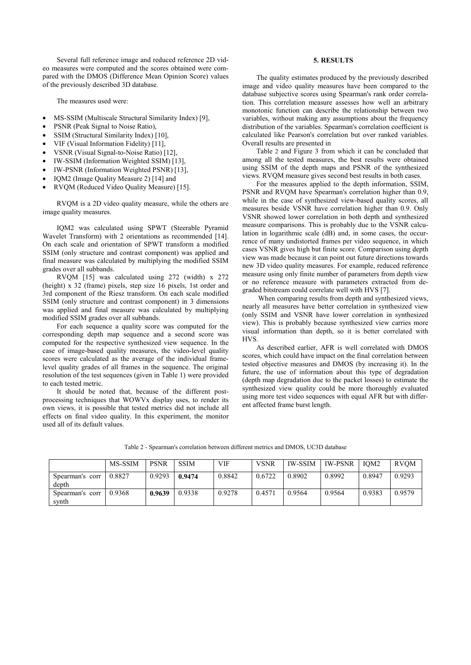Several full reference image and reduced reference 2D video measures were computed and the scores obtained were compared with the DMOS (Difference Mean Opinion Score) values of the previously described 3D database.

The measures used were:

- MS-SSIM (Multiscale Structural Similarity Index) [9],
- PSNR (Peak Signal to Noise Ratio),
- SSIM (Structural Similarity Index) [10],
- VIF (Visual Information Fidelity) [11],
- VSNR (Visual Signal-to-Noise Ratio) [12],
- IW-SSIM (Information Weighted SSIM) [13],
- IW-PSNR (Information Weighted PSNR) [13],
- IQM2 (Image Quality Measure 2) [14] and
- RVQM (Reduced Video Quality Measure) [15].

RVQM is a 2D video quality measure, while the others are image quality measures.

IQM2 was calculated using SPWT (Steerable Pyramid Wavelet Transform) with 2 orientations as recommended [14]. On each scale and orientation of SPWT transform a modified SSIM (only structure and contrast component) was applied and final measure was calculated by multiplying the modified SSIM grades over all subbands.

RVQM [15] was calculated using 272 (width) x 272 (height) x 32 (frame) pixels, step size 16 pixels, 1st order and 3rd component of the Riesz transform. On each scale modified SSIM (only structure and contrast component) in 3 dimensions was applied and final measure was calculated by multiplying modified SSIM grades over all subbands.

For each sequence a quality score was computed for the corresponding depth map sequence and a second score was computed for the respective synthesized view sequence. In the case of image-based quality measures, the video-level quality scores were calculated as the average of the individual framelevel quality grades of all frames in the sequence. The original resolution of the test sequences (given in Table 1) were provided to each tested metric.

It should be noted that, because of the different postprocessing techniques that WOWVx display uses, to render its own views, it is possible that tested metrics did not include all effects on final video quality. In this experiment, the monitor used all of its default values.

## **5. RESULTS**

The quality estimates produced by the previously described image and video quality measures have been compared to the database subjective scores using Spearman's rank order correlation. This correlation measure assesses how well an arbitrary monotonic function can describe the relationship between two variables, without making any assumptions about the frequency distribution of the variables. Spearman's correlation coefficient is calculated like Pearson's correlation but over ranked variables. Overall results are presented in

Table 2 and Figure 3 from which it can be concluded that among all the tested measures, the best results were obtained using SSIM of the depth maps and PSNR of the synthesized views. RVQM measure gives second best results in both cases.

For the measures applied to the depth information, SSIM, PSNR and RVQM have Spearman's correlation higher than 0.9, while in the case of synthesized view-based quality scores, all measures beside VSNR have correlation higher than 0.9. Only VSNR showed lower correlation in both depth and synthesized measure comparisons. This is probably due to the VSNR calculation in logarithmic scale (dB) and, in some cases, the occurrence of many undistorted frames per video sequence, in which cases VSNR gives high but finite score. Comparison using depth view was made because it can point out future directions towards new 3D video quality measures. For example, reduced reference measure using only finite number of parameters from depth view or no reference measure with parameters extracted from degraded bitstream could correlate well with HVS [7].

 When comparing results from depth and synthesized views, nearly all measures have better correlation in synthesized view (only SSIM and VSNR have lower correlation in synthesized view). This is probably because synthesized view carries more visual information than depth, so it is better correlated with **HVS** 

As described earlier, AFR is well correlated with DMOS scores, which could have impact on the final correlation between tested objective measures and DMOS (by increasing it). In the future, the use of information about this type of degradation (depth map degradation due to the packet losses) to estimate the synthesized view quality could be more thoroughly evaluated using more test video sequences with equal AFR but with different affected frame burst length.

Table 2 - Spearman's correlation between different metrics and DMOS, UC3D database

|                          | MS-SSIM | <b>PSNR</b> | SSIM   | VIF    | <b>VSNR</b> | IW-SSIM | <b>IW-PSNR</b> | IOM <sub>2</sub> | <b>RVOM</b> |
|--------------------------|---------|-------------|--------|--------|-------------|---------|----------------|------------------|-------------|
| Spearman's corr<br>depth | 0.8827  | 0.9293      | 0.9474 | 0.8842 | 0.6722      | 0.8902  | 0.8992         | 0.8947           | 0.9293      |
| Spearman's corr<br>synth | 0.9368  | 0.9639      | 0.9338 | 0.9278 | 0.4571      | 0.9564  | 0.9564         | 0.9383           | 0.9579      |